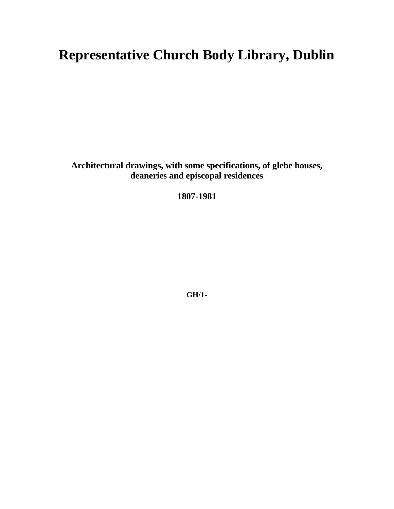# **Representative Church Body Library, Dublin**

**Architectural drawings, with some specifications, of glebe houses, deaneries and episcopal residences**

**1807-1981**

**GH/1-**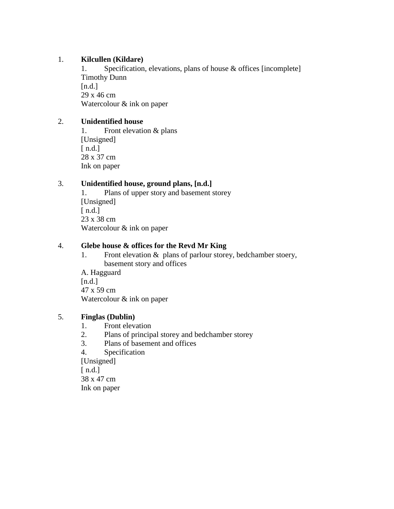# 1. **Kilcullen (Kildare)**

1. Specification, elevations, plans of house & offices [incomplete] Timothy Dunn  $[n.d.]$ 29 x 46 cm Watercolour & ink on paper

#### 2. **Unidentified house**

1. Front elevation & plans [Unsigned] [  $n.d.]$ 28 x 37 cm Ink on paper

# 3. **Unidentified house, ground plans, [n.d.]**

1. Plans of upper story and basement storey [Unsigned]  $[n.d.]$ 23 x 38 cm Watercolour & ink on paper

#### 4. **Glebe house & offices for the Revd Mr King**

1. Front elevation & plans of parlour storey, bedchamber stoery, basement story and offices

A. Hagguard  $[n.d.]$ 47 x 59 cm Watercolour & ink on paper

#### 5. **Finglas (Dublin)**

- 1. Front elevation
- 2. Plans of principal storey and bedchamber storey
- 3. Plans of basement and offices
- 4. Specification

[Unsigned]  $[n.d.]$ 38 x 47 cm Ink on paper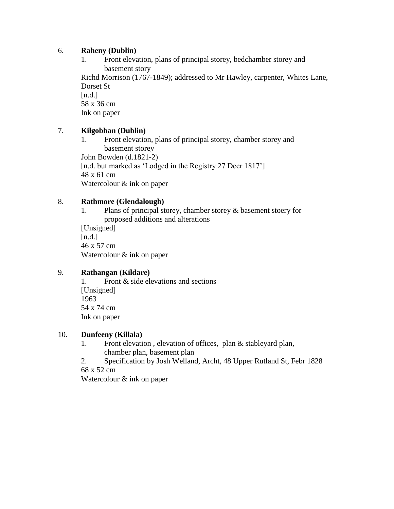#### 6. **Raheny (Dublin)**

1. Front elevation, plans of principal storey, bedchamber storey and basement story

Richd Morrison (1767-1849); addressed to Mr Hawley, carpenter, Whites Lane, Dorset St  $[n.d.]$ 

58 x 36 cm

Ink on paper

#### 7. **Kilgobban (Dublin)**

1. Front elevation, plans of principal storey, chamber storey and basement storey John Bowden (d.1821-2) [n.d. but marked as 'Lodged in the Registry 27 Decr 1817'] 48 x 61 cm Watercolour & ink on paper

#### 8. **Rathmore (Glendalough)**

1. Plans of principal storey, chamber storey & basement stoery for proposed additions and alterations [Unsigned]  $[n.d.]$ 46 x 57 cm Watercolour & ink on paper

# 9. **Rathangan (Kildare)**

1. Front & side elevations and sections [Unsigned] 1963 54 x 74 cm Ink on paper

# 10. **Dunfeeny (Killala)**

- 1. Front elevation , elevation of offices, plan & stableyard plan, chamber plan, basement plan
- 2. Specification by Josh Welland, Archt, 48 Upper Rutland St, Febr 1828

68 x 52 cm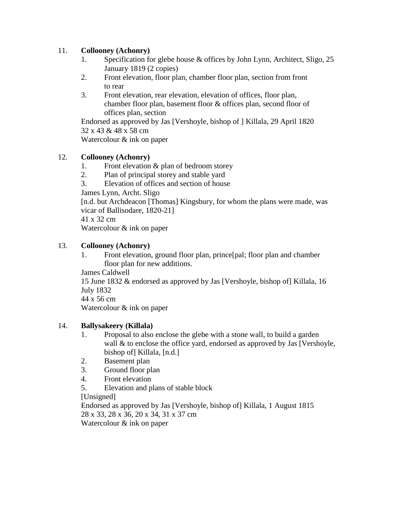# 11. **Collooney (Achonry)**

- 1. Specification for glebe house & offices by John Lynn, Architect, Sligo, 25 January 1819 (2 copies)
- 2. Front elevation, floor plan, chamber floor plan, section from front to rear
- 3. Front elevation, rear elevation, elevation of offices, floor plan, chamber floor plan, basement floor & offices plan, second floor of offices plan, section

Endorsed as approved by Jas [Vershoyle, bishop of ] Killala, 29 April 1820 32 x 43 & 48 x 58 cm Watercolour & ink on paper

# 12. **Collooney (Achonry)**

- 1. Front elevation & plan of bedroom storey
- 2. Plan of principal storey and stable yard
- 3. Elevation of offices and section of house

James Lynn, Archt. Sligo

[n.d. but Archdeacon [Thomas] Kingsbury, for whom the plans were made, was vicar of Ballisodare, 1820-21]

41 x 32 cm

Watercolour & ink on paper

# 13. **Collooney (Achonry)**

- 1. Front elevation, ground floor plan, prince[pal; floor plan and chamber floor plan for new additions.
- James Caldwell

15 June 1832 & endorsed as approved by Jas [Vershoyle, bishop of] Killala, 16 July 1832

44 x 56 cm

Watercolour & ink on paper

# 14. **Ballysakeery (Killala)**

- 1. Proposal to also enclose the glebe with a stone wall, to build a garden wall & to enclose the office yard, endorsed as approved by Jas [Vershoyle, bishop of] Killala, [n.d.]
- 2. Basement plan
- 3. Ground floor plan
- 4. Front elevation
- 5. Elevation and plans of stable block

[Unsigned]

Endorsed as approved by Jas [Vershoyle, bishop of] Killala, 1 August 1815 28 x 33, 28 x 36, 20 x 34, 31 x 37 cm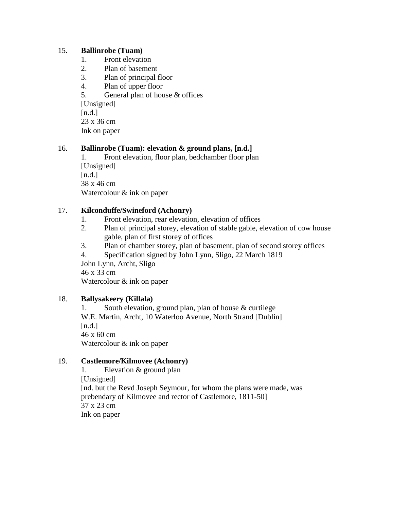#### 15. **Ballinrobe (Tuam)**

- 1. Front elevation
- 2. Plan of basement
- 3. Plan of principal floor
- 4. Plan of upper floor
- 5. General plan of house & offices

[Unsigned]

 $[n.d.]$ 

23 x 36 cm

Ink on paper

# 16. **Ballinrobe (Tuam): elevation & ground plans, [n.d.]**

1. Front elevation, floor plan, bedchamber floor plan [Unsigned]  $[n.d.]$ 38 x 46 cm Watercolour & ink on paper

# 17. **Kilconduffe/Swineford (Achonry)**

- 1. Front elevation, rear elevation, elevation of offices
- 2. Plan of principal storey, elevation of stable gable, elevation of cow house gable, plan of first storey of offices
- 3. Plan of chamber storey, plan of basement, plan of second storey offices
- 4. Specification signed by John Lynn, Sligo, 22 March 1819

John Lynn, Archt, Sligo 46 x 33 cm

Watercolour & ink on paper

# 18. **Ballysakeery (Killala)**

1. South elevation, ground plan, plan of house & curtilege W.E. Martin, Archt, 10 Waterloo Avenue, North Strand [Dublin]  $[n.d.]$ 46 x 60 cm Watercolour & ink on paper

# 19. **Castlemore/Kilmovee (Achonry)**

1. Elevation & ground plan [Unsigned] [nd. but the Revd Joseph Seymour, for whom the plans were made, was prebendary of Kilmovee and rector of Castlemore, 1811-50] 37 x 23 cm Ink on paper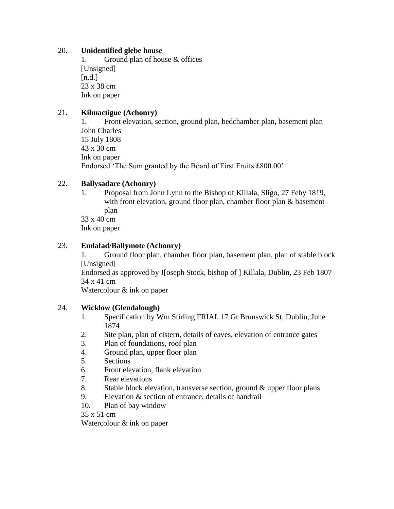## 20. **Unidentified glebe house**

1. Ground plan of house & offices [Unsigned]  $[n.d.]$ 23 x 38 cm Ink on paper

# 21. **Kilmactigue (Achonry)**

1. Front elevation, section, ground plan, bedchamber plan, basement plan John Charles 15 July 1808 43 x 30 cm Ink on paper Endorsed 'The Sum granted by the Board of First Fruits £800.00'

# 22. **Ballysadare (Achonry)**

1. Proposal from John Lynn to the Bishop of Killala, Sligo, 27 Feby 1819, with front elevation, ground floor plan, chamber floor plan & basement plan

33 x 40 cm Ink on paper

# 23. **Emlafad/Ballymote (Achonry)**

1. Ground floor plan, chamber floor plan, basement plan, plan of stable block [Unsigned]

Endorsed as approved by J[oseph Stock, bishop of ] Killala, Dublin, 23 Feb 1807 34 x 41 cm

Watercolour & ink on paper

# 24. **Wicklow (Glendalough)**

- 1. Specification by Wm Stirling FRIAI, 17 Gt Brunswick St, Dublin, June 1874
- 2. Site plan, plan of cistern, details of eaves, elevation of entrance gates
- 3. Plan of foundations, roof plan
- 4. Ground plan, upper floor plan
- 5. Sections
- 6. Front elevation, flank elevation
- 7. Rear elevations
- 8. Stable block elevation, transverse section, ground & upper floor plans
- 9. Elevation & section of entrance, details of handrail
- 10. Plan of bay window

35 x 51 cm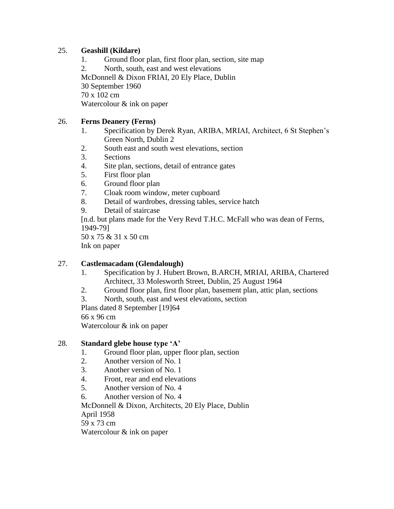# 25. **Geashill (Kildare)**

- 1. Ground floor plan, first floor plan, section, site map
- 2. North, south, east and west elevations

McDonnell & Dixon FRIAI, 20 Ely Place, Dublin

30 September 1960

70 x 102 cm

Watercolour & ink on paper

# 26. **Ferns Deanery (Ferns)**

- 1. Specification by Derek Ryan, ARIBA, MRIAI, Architect, 6 St Stephen's Green North, Dublin 2
- 2. South east and south west elevations, section
- 3. Sections
- 4. Site plan, sections, detail of entrance gates
- 5. First floor plan
- 6. Ground floor plan
- 7. Cloak room window, meter cupboard
- 8. Detail of wardrobes, dressing tables, service hatch
- 9. Detail of staircase

[n.d. but plans made for the Very Revd T.H.C. McFall who was dean of Ferns, 1949-79]

50 x 75 & 31 x 50 cm Ink on paper

# 27. **Castlemacadam (Glendalough)**

- 1. Specification by J. Hubert Brown, B.ARCH, MRIAI, ARIBA, Chartered Architect, 33 Molesworth Street, Dublin, 25 August 1964
- 2. Ground floor plan, first floor plan, basement plan, attic plan, sections
- 3. North, south, east and west elevations, section

Plans dated 8 September [19]64 66 x 96 cm

Watercolour & ink on paper

# 28. **Standard glebe house type 'A'**

- 1. Ground floor plan, upper floor plan, section
- 2. Another version of No. 1
- 3. Another version of No. 1
- 4. Front, rear and end elevations
- 5. Another version of No. 4
- 6. Another version of No. 4

McDonnell & Dixon, Architects, 20 Ely Place, Dublin April 1958 59 x 73 cm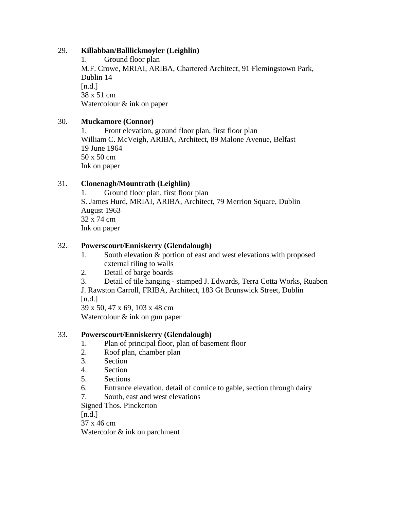# 29. **Killabban/Balllickmoyler (Leighlin)**

1. Ground floor plan M.F. Crowe, MRIAI, ARIBA, Chartered Architect, 91 Flemingstown Park, Dublin 14  $[n.d.]$ 38 x 51 cm Watercolour & ink on paper

# 30. **Muckamore (Connor)**

1. Front elevation, ground floor plan, first floor plan William C. McVeigh, ARIBA, Architect, 89 Malone Avenue, Belfast 19 June 1964 50 x 50 cm Ink on paper

# 31. **Clonenagh/Mountrath (Leighlin)**

1. Ground floor plan, first floor plan S. James Hurd, MRIAI, ARIBA, Architect, 79 Merrion Square, Dublin August 1963 32 x 74 cm Ink on paper

# 32. **Powerscourt/Enniskerry (Glendalough)**

- 1. South elevation & portion of east and west elevations with proposed external tiling to walls
- 2. Detail of barge boards

3. Detail of tile hanging - stamped J. Edwards, Terra Cotta Works, Ruabon J. Rawston Carroll, FRIBA, Architect, 183 Gt Brunswick Street, Dublin  $[n.d.]$ 

39 x 50, 47 x 69, 103 x 48 cm Watercolour & ink on gun paper

# 33. **Powerscourt/Enniskerry (Glendalough)**

- 1. Plan of principal floor, plan of basement floor
- 2. Roof plan, chamber plan
- 3. Section
- 4. Section
- 5. Sections
- 6. Entrance elevation, detail of cornice to gable, section through dairy
- 7. South, east and west elevations

Signed Thos. Pinckerton

 $[n.d.]$ 

37 x 46 cm

Watercolor  $&$  ink on parchment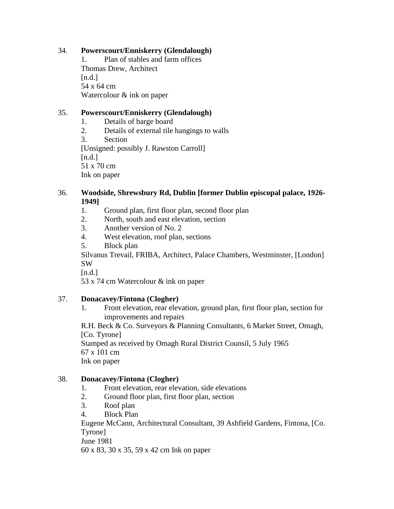# 34. **Powerscourt/Enniskerry (Glendalough)**

1. Plan of stables and farm offices Thomas Drew, Architect  $[n.d.]$ 54 x 64 cm Watercolour & ink on paper

# 35. **Powerscourt/Enniskerry (Glendalough)**

- 1. Details of barge board
- 2. Details of external tile hangings to walls

3. Section [Unsigned: possibly J. Rawston Carroll]  $[n.d.]$ 51 x 70 cm Ink on paper

# 36. **Woodside, Shrewsbury Rd, Dublin [former Dublin episcopal palace, 1926- 1949]**

- 1. Ground plan, first floor plan, second floor plan
- 2. North, south and east elevation, section
- 3. Another version of No. 2
- 4. West elevation, roof plan, sections
- 5. Block plan

Silvanus Trevail, FRIBA, Architect, Palace Chambers, Westminster, [London] SW

 $[n.d.]$ 

53 x 74 cm Watercolour & ink on paper

# 37. **Donacavey/Fintona (Clogher)**

1. Front elevation, rear elevation, ground plan, first floor plan, section for improvements and repairs

R.H. Beck & Co. Surveyors & Planning Consultants, 6 Market Street, Omagh, [Co. Tyrone]

Stamped as received by Omagh Rural District Counsil, 5 July 1965 67 x 101 cm

Ink on paper

# 38. **Donacavey/Fintona (Clogher)**

- 1. Front elevation, rear elevation, side elevations
- 2. Ground floor plan, first floor plan, section
- 3. Roof plan
- 4. Block Plan

Eugene McCann, Architectural Consultant, 39 Ashfield Gardens, Fintona, [Co. Tyrone]

June 1981

60 x 83, 30 x 35, 59 x 42 cm Ink on paper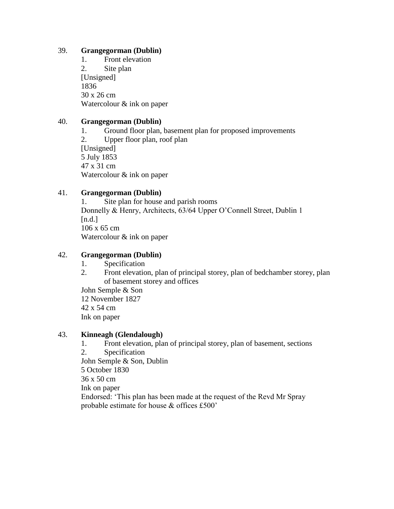# 39. **Grangegorman (Dublin)**

1. Front elevation 2. Site plan [Unsigned] 1836 30 x 26 cm Watercolour & ink on paper

# 40. **Grangegorman (Dublin)**

- 1. Ground floor plan, basement plan for proposed improvements
- 2. Upper floor plan, roof plan [Unsigned] 5 July 1853 47 x 31 cm Watercolour & ink on paper

# 41. **Grangegorman (Dublin)**

1. Site plan for house and parish rooms Donnelly & Henry, Architects, 63/64 Upper O'Connell Street, Dublin 1  $[n.d.]$ 106 x 65 cm Watercolour & ink on paper

# 42. **Grangegorman (Dublin)**

- 1. Specification
- 2. Front elevation, plan of principal storey, plan of bedchamber storey, plan of basement storey and offices

John Semple & Son 12 November 1827 42 x 54 cm Ink on paper

# 43. **Kinneagh (Glendalough)**

- 1. Front elevation, plan of principal storey, plan of basement, sections
- 2. Specification

John Semple & Son, Dublin

5 October 1830

36 x 50 cm

Ink on paper

Endorsed: 'This plan has been made at the request of the Revd Mr Spray probable estimate for house & offices £500'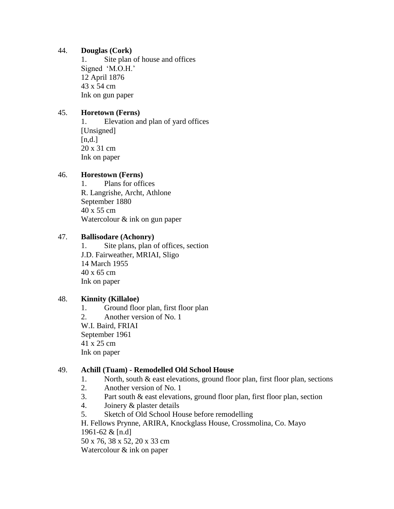#### 44. **Douglas (Cork)**

1. Site plan of house and offices Signed 'M.O.H.' 12 April 1876 43 x 54 cm Ink on gun paper

# 45. **Horetown (Ferns)**

1. Elevation and plan of yard offices [Unsigned]  $[n,d.]$ 20 x 31 cm Ink on paper

# 46. **Horestown (Ferns)**

1. Plans for offices R. Langrishe, Archt, Athlone September 1880 40 x 55 cm Watercolour & ink on gun paper

# 47. **Ballisodare (Achonry)**

1. Site plans, plan of offices, section J.D. Fairweather, MRIAI, Sligo 14 March 1955 40 x 65 cm Ink on paper

# 48. **Kinnity (Killaloe)**

1. Ground floor plan, first floor plan 2. Another version of No. 1 W.I. Baird, FRIAI September 1961 41 x 25 cm Ink on paper

# 49. **Achill (Tuam) - Remodelled Old School House**

- 1. North, south & east elevations, ground floor plan, first floor plan, sections
- 2. Another version of No. 1
- 3. Part south & east elevations, ground floor plan, first floor plan, section
- 4. Joinery & plaster details
- 5. Sketch of Old School House before remodelling

H. Fellows Prynne, ARIRA, Knockglass House, Crossmolina, Co. Mayo 1961-62 & [n.d]

50 x 76, 38 x 52, 20 x 33 cm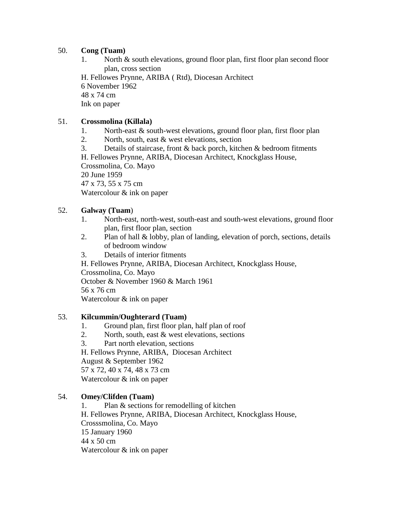# 50. **Cong (Tuam)**

1. North & south elevations, ground floor plan, first floor plan second floor plan, cross section

H. Fellowes Prynne, ARIBA ( Rtd), Diocesan Architect

6 November 1962

48 x 74 cm

Ink on paper

# 51. **Crossmolina (Killala)**

- 1. North-east & south-west elevations, ground floor plan, first floor plan
- 2. North, south, east & west elevations, section
- 3. Details of staircase, front & back porch, kitchen & bedroom fitments

H. Fellowes Prynne, ARIBA, Diocesan Architect, Knockglass House, Crossmolina, Co. Mayo

20 June 1959

47 x 73, 55 x 75 cm

Watercolour & ink on paper

# 52. **Galway (Tuam**)

- 1. North-east, north-west, south-east and south-west elevations, ground floor plan, first floor plan, section
- 2. Plan of hall & lobby, plan of landing, elevation of porch, sections, details of bedroom window
- 3. Details of interior fitments

H. Fellowes Prynne, ARIBA, Diocesan Architect, Knockglass House, Crossmolina, Co. Mayo

October & November 1960 & March 1961

56 x 76 cm

Watercolour & ink on paper

# 53. **Kilcummin/Oughterard (Tuam)**

- 1. Ground plan, first floor plan, half plan of roof
- 2. North, south, east  $&$  west elevations, sections
- 3. Part north elevation, sections

H. Fellows Prynne, ARIBA, Diocesan Architect August & September 1962

57 x 72, 40 x 74, 48 x 73 cm

Watercolour & ink on paper

# 54. **Omey/Clifden (Tuam)**

1. Plan & sections for remodelling of kitchen H. Fellowes Prynne, ARIBA, Diocesan Architect, Knockglass House, Crosssmolina, Co. Mayo 15 January 1960 44 x 50 cm Watercolour & ink on paper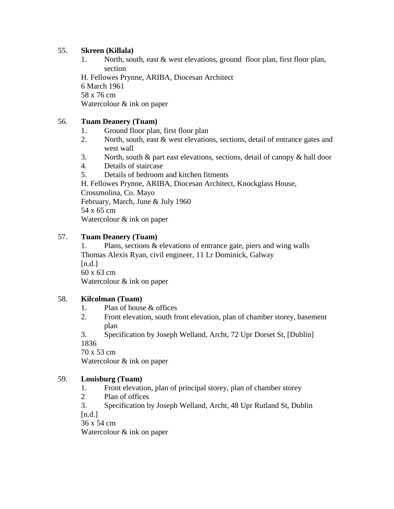# 55. **Skreen (Killala)**

1. North, south, east & west elevations, ground floor plan, first floor plan, section

H. Fellowes Prynne, ARIBA, Diocesan Architect

6 March 1961

58 x 76 cm

Watercolour & ink on paper

# 56. **Tuam Deanery (Tuam)**

- 1. Ground floor plan, first floor plan
- 2. North, south, east & west elevations, sections, detail of entrance gates and west wall
- 3. North, south & part east elevations, sections, detail of canopy & hall door
- 4. Details of staircase
- 5. Details of bedroom and kitchen fitments

H. Fellowes Prynne, ARIBA, Diocesan Architect, Knockglass House, Crossmolina, Co. Mayo February, March, June & July 1960 54 x 65 cm Watercolour & ink on paper

# 57. **Tuam Deanery (Tuam)**

1. Plans, sections & elevations of entrance gate, piers and wing walls Thomas Alexis Ryan, civil engineer, 11 Lr Dominick, Galway  $[n.d.]$ 60 x 63 cm Watercolour & ink on paper

# 58. **Kilcolman (Tuam)**

- 1. Plan of house & offices
- 2. Front elevation, south front elevation, plan of chamber storey, basement plan
- 3. Specification by Joseph Welland, Archt, 72 Upr Dorset St, [Dublin] 1836

70 x 53 cm

Watercolour & ink on paper

# 59. **Louisburg (Tuam)**

- 1. Front elevation, plan of principal storey, plan of chamber storey
- 2 Plan of offices
- 3. Specification by Joseph Welland, Archt, 48 Upr Rutland St, Dublin  $[n.d.]$

36 x 54 cm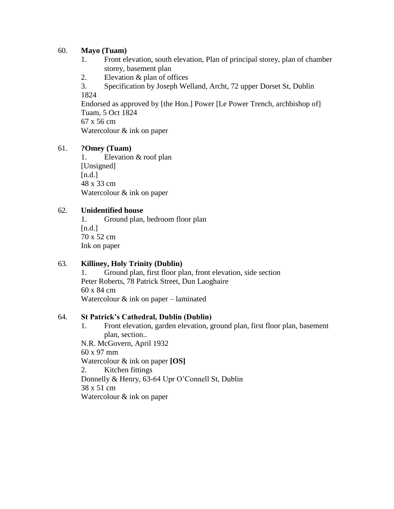#### 60. **Mayo (Tuam)**

- 1. Front elevation, south elevation, Plan of principal storey, plan of chamber storey, basement plan
- 2. Elevation & plan of offices
- 3. Specification by Joseph Welland, Archt, 72 upper Dorset St, Dublin 1824

Endorsed as approved by [the Hon.] Power [Le Power Trench, archbishop of] Tuam, 5 Oct 1824

67 x 56 cm Watercolour & ink on paper

# 61. **?Omey (Tuam)**

1. Elevation & roof plan [Unsigned]  $[n.d.]$ 48 x 33 cm Watercolour & ink on paper

#### 62. **Unidentified house**

1. Ground plan, bedroom floor plan  $[n.d.]$ 70 x 52 cm Ink on paper

# 63. **Killiney, Holy Trinity (Dublin)**

1. Ground plan, first floor plan, front elevation, side section Peter Roberts, 78 Patrick Street, Dun Laoghaire 60 x 84 cm Watercolour & ink on paper – laminated

#### 64. **St Patrick's Cathedral, Dublin (Dublin)**

1. Front elevation, garden elevation, ground plan, first floor plan, basement plan, section..

N.R. McGovern, April 1932 60 x 97 mm Watercolour & ink on paper **[OS]** 2. Kitchen fittings Donnelly & Henry, 63-64 Upr O'Connell St, Dublin 38 x 51 cm Watercolour & ink on paper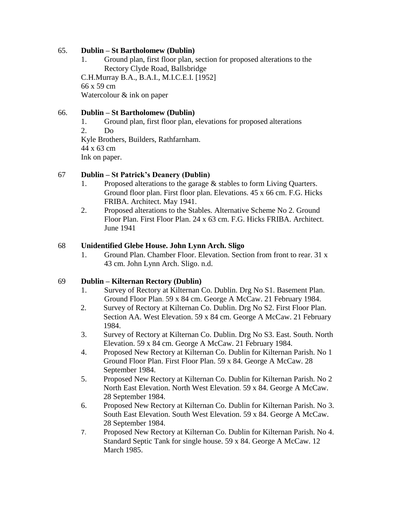#### 65. **Dublin – St Bartholomew (Dublin)**

1. Ground plan, first floor plan, section for proposed alterations to the Rectory Clyde Road, Ballsbridge C.H.Murray B.A., B.A.I., M.I.C.E.I. [1952]

66 x 59 cm Watercolour & ink on paper

#### 66. **Dublin – St Bartholomew (Dublin)**

- 1. Ground plan, first floor plan, elevations for proposed alterations
- 2. Do Kyle Brothers, Builders, Rathfarnham.

44 x 63 cm

Ink on paper.

#### 67 **Dublin – St Patrick's Deanery (Dublin)**

- 1. Proposed alterations to the garage & stables to form Living Quarters. Ground floor plan. First floor plan. Elevations. 45 x 66 cm. F.G. Hicks FRIBA. Architect. May 1941.
- 2. Proposed alterations to the Stables. Alternative Scheme No 2. Ground Floor Plan. First Floor Plan. 24 x 63 cm. F.G. Hicks FRIBA. Architect. June 1941

#### 68 **Unidentified Glebe House. John Lynn Arch. Sligo**

1. Ground Plan. Chamber Floor. Elevation. Section from front to rear. 31 x 43 cm. John Lynn Arch. Sligo. n.d.

#### 69 **Dublin – Kilternan Rectory (Dublin)**

- 1. Survey of Rectory at Kilternan Co. Dublin. Drg No S1. Basement Plan. Ground Floor Plan. 59 x 84 cm. George A McCaw. 21 February 1984.
- 2. Survey of Rectory at Kilternan Co. Dublin. Drg No S2. First Floor Plan. Section AA. West Elevation. 59 x 84 cm. George A McCaw. 21 February 1984.
- 3. Survey of Rectory at Kilternan Co. Dublin. Drg No S3. East. South. North Elevation. 59 x 84 cm. George A McCaw. 21 February 1984.
- 4. Proposed New Rectory at Kilternan Co. Dublin for Kilternan Parish. No 1 Ground Floor Plan. First Floor Plan. 59 x 84. George A McCaw. 28 September 1984.
- 5. Proposed New Rectory at Kilternan Co. Dublin for Kilternan Parish. No 2 North East Elevation. North West Elevation. 59 x 84. George A McCaw. 28 September 1984.
- 6. Proposed New Rectory at Kilternan Co. Dublin for Kilternan Parish. No 3. South East Elevation. South West Elevation. 59 x 84. George A McCaw. 28 September 1984.
- 7. Proposed New Rectory at Kilternan Co. Dublin for Kilternan Parish. No 4. Standard Septic Tank for single house. 59 x 84. George A McCaw. 12 March 1985.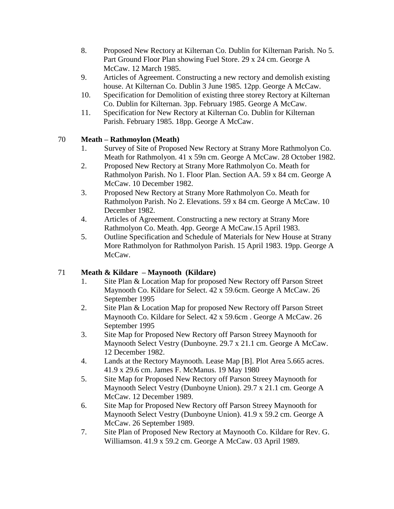- 8. Proposed New Rectory at Kilternan Co. Dublin for Kilternan Parish. No 5. Part Ground Floor Plan showing Fuel Store. 29 x 24 cm. George A McCaw. 12 March 1985.
- 9. Articles of Agreement. Constructing a new rectory and demolish existing house. At Kilternan Co. Dublin 3 June 1985. 12pp. George A McCaw.
- 10. Specification for Demolition of existing three storey Rectory at Kilternan Co. Dublin for Kilternan. 3pp. February 1985. George A McCaw.
- 11. Specification for New Rectory at Kilternan Co. Dublin for Kilternan Parish. February 1985. 18pp. George A McCaw.

# 70 **Meath – Rathmoylon (Meath)**

- 1. Survey of Site of Proposed New Rectory at Strany More Rathmolyon Co. Meath for Rathmolyon. 41 x 59n cm. George A McCaw. 28 October 1982.
- 2. Proposed New Rectory at Strany More Rathmolyon Co. Meath for Rathmolyon Parish. No 1. Floor Plan. Section AA. 59 x 84 cm. George A McCaw. 10 December 1982.
- 3. Proposed New Rectory at Strany More Rathmolyon Co. Meath for Rathmolyon Parish. No 2. Elevations. 59 x 84 cm. George A McCaw. 10 December 1982.
- 4. Articles of Agreement. Constructing a new rectory at Strany More Rathmolyon Co. Meath. 4pp. George A McCaw.15 April 1983.
- 5. Outline Specification and Schedule of Materials for New House at Strany More Rathmolyon for Rathmolyon Parish. 15 April 1983. 19pp. George A McCaw.

# 71 **Meath & Kildare – Maynooth (Kildare)**

- 1. Site Plan & Location Map for proposed New Rectory off Parson Street Maynooth Co. Kildare for Select. 42 x 59.6cm. George A McCaw. 26 September 1995
- 2. Site Plan & Location Map for proposed New Rectory off Parson Street Maynooth Co. Kildare for Select. 42 x 59.6cm . George A McCaw. 26 September 1995
- 3. Site Map for Proposed New Rectory off Parson Streey Maynooth for Maynooth Select Vestry (Dunboyne. 29.7 x 21.1 cm. George A McCaw. 12 December 1982.
- 4. Lands at the Rectory Maynooth. Lease Map [B]. Plot Area 5.665 acres. 41.9 x 29.6 cm. James F. McManus. 19 May 1980
- 5. Site Map for Proposed New Rectory off Parson Streey Maynooth for Maynooth Select Vestry (Dunboyne Union). 29.7 x 21.1 cm. George A McCaw. 12 December 1989.
- 6. Site Map for Proposed New Rectory off Parson Streey Maynooth for Maynooth Select Vestry (Dunboyne Union). 41.9 x 59.2 cm. George A McCaw. 26 September 1989.
- 7. Site Plan of Proposed New Rectory at Maynooth Co. Kildare for Rev. G. Williamson. 41.9 x 59.2 cm. George A McCaw. 03 April 1989.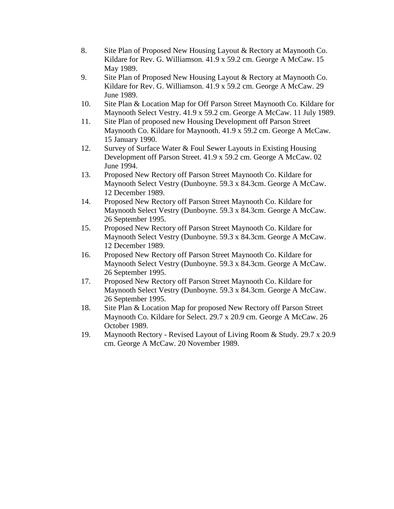- 8. Site Plan of Proposed New Housing Layout & Rectory at Maynooth Co. Kildare for Rev. G. Williamson. 41.9 x 59.2 cm. George A McCaw. 15 May 1989.
- 9. Site Plan of Proposed New Housing Layout & Rectory at Maynooth Co. Kildare for Rev. G. Williamson. 41.9 x 59.2 cm. George A McCaw. 29 June 1989.
- 10. Site Plan & Location Map for Off Parson Street Maynooth Co. Kildare for Maynooth Select Vestry. 41.9 x 59.2 cm. George A McCaw. 11 July 1989.
- 11. Site Plan of proposed new Housing Development off Parson Street Maynooth Co. Kildare for Maynooth. 41.9 x 59.2 cm. George A McCaw. 15 January 1990.
- 12. Survey of Surface Water & Foul Sewer Layouts in Existing Housing Development off Parson Street. 41.9 x 59.2 cm. George A McCaw. 02 June 1994.
- 13. Proposed New Rectory off Parson Street Maynooth Co. Kildare for Maynooth Select Vestry (Dunboyne. 59.3 x 84.3cm. George A McCaw. 12 December 1989.
- 14. Proposed New Rectory off Parson Street Maynooth Co. Kildare for Maynooth Select Vestry (Dunboyne. 59.3 x 84.3cm. George A McCaw. 26 September 1995.
- 15. Proposed New Rectory off Parson Street Maynooth Co. Kildare for Maynooth Select Vestry (Dunboyne. 59.3 x 84.3cm. George A McCaw. 12 December 1989.
- 16. Proposed New Rectory off Parson Street Maynooth Co. Kildare for Maynooth Select Vestry (Dunboyne. 59.3 x 84.3cm. George A McCaw. 26 September 1995.
- 17. Proposed New Rectory off Parson Street Maynooth Co. Kildare for Maynooth Select Vestry (Dunboyne. 59.3 x 84.3cm. George A McCaw. 26 September 1995.
- 18. Site Plan & Location Map for proposed New Rectory off Parson Street Maynooth Co. Kildare for Select. 29.7 x 20.9 cm. George A McCaw. 26 October 1989.
- 19. Maynooth Rectory Revised Layout of Living Room & Study. 29.7 x 20.9 cm. George A McCaw. 20 November 1989.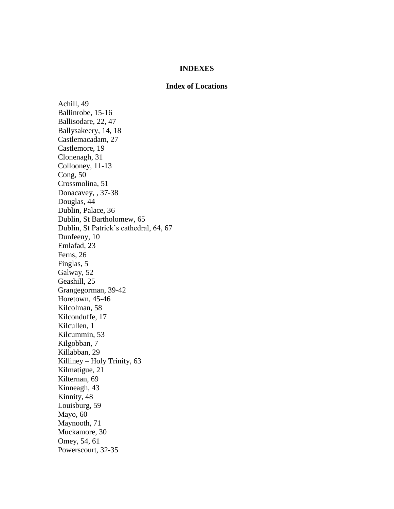#### **INDEXES**

#### **Index of Locations**

Achill, 49 Ballinrobe, 15-16 Ballisodare, 22, 47 Ballysakeery, 14, 18 Castlemacadam, 27 Castlemore, 19 Clonenagh, 31 Collooney, 11-13 Cong, 50 Crossmolina, 51 Donacavey, , 37-38 Douglas, 44 Dublin, Palace, 36 Dublin, St Bartholomew, 65 Dublin, St Patrick's cathedral, 64, 67 Dunfeeny, 10 Emlafad, 23 Ferns, 26 Finglas, 5 Galway, 52 Geashill, 25 Grangegorman, 39-42 Horetown, 45-46 Kilcolman, 58 Kilconduffe, 17 Kilcullen, 1 Kilcummin, 53 Kilgobban, 7 Killabban, 29 Killiney – Holy Trinity, 63 Kilmatigue, 21 Kilternan, 69 Kinneagh, 43 Kinnity, 48 Louisburg, 59 Mayo, 60 Maynooth, 71 Muckamore, 30 Omey, 54, 61 Powerscourt, 32-35